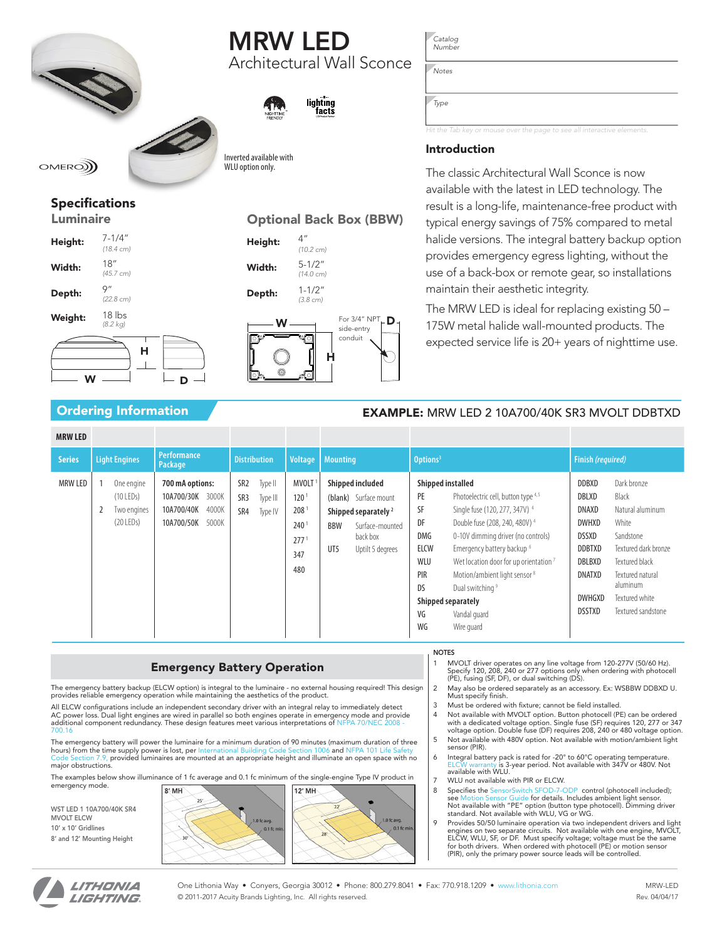# MRW LED Architectural Wall Sconce

lighting factš



Inverted available with WI II ontion only.

 $OMEROM$ 

## Specifications

Luminaire

| Height: | $7 - 1/4"$<br>$(18.4 \text{ cm})$ |
|---------|-----------------------------------|
| Width:  | 18''<br>(45.7 cm)                 |
| Depth:  | 9''<br>(22.8 cm)                  |
| Weight: | $18$ lbs<br>$(8.2 \text{ kg})$    |
|         | н                                 |

 $w \longrightarrow$   $\Box$  D

| <b>Optional Back Box (BBW)</b> |                                   |                                       |   |
|--------------------------------|-----------------------------------|---------------------------------------|---|
| Height:                        | 4"<br>$(10.2 \text{ cm})$         |                                       |   |
| Width:                         | $5 - 1/2"$<br>$(14.0 \text{ cm})$ |                                       |   |
| Depth:                         | $1 - 1/2"$<br>$(3.8 \text{ cm})$  |                                       |   |
|                                | н                                 | For 3/4" NPT<br>side-entry<br>conduit | D |

*Catalog Number*

*Notes*

*Type*

*Hit the Tab key or mouse over the page to see all interactive elements.*

### Introduction

The classic Architectural Wall Sconce is now available with the latest in LED technology. The result is a long-life, maintenance-free product with typical energy savings of 75% compared to metal halide versions. The integral battery backup option provides emergency egress lighting, without the use of a back-box or remote gear, so installations maintain their aesthetic integrity.

The MRW LED is ideal for replacing existing 50 – 175W metal halide wall-mounted products. The expected service life is 20+ years of nighttime use.

## Ordering Information **EXAMPLE:** MRW LED 2 10A700/40K SR3 MVOLT DDBTXD

| <b>MRW LED</b> |                                                         |                                                                                      |                                                                 |                                                                                                      |                                                                                                                                                             |                                                                                                                                                                                                                                                                                                                                                                                                                                                                                                      |                                                                                                                                                                                                                                                                                                                                  |
|----------------|---------------------------------------------------------|--------------------------------------------------------------------------------------|-----------------------------------------------------------------|------------------------------------------------------------------------------------------------------|-------------------------------------------------------------------------------------------------------------------------------------------------------------|------------------------------------------------------------------------------------------------------------------------------------------------------------------------------------------------------------------------------------------------------------------------------------------------------------------------------------------------------------------------------------------------------------------------------------------------------------------------------------------------------|----------------------------------------------------------------------------------------------------------------------------------------------------------------------------------------------------------------------------------------------------------------------------------------------------------------------------------|
| <b>Series</b>  | <b>Light Engines</b>                                    | <b>Performance</b><br>Package                                                        | <b>Distribution</b>                                             |                                                                                                      | Voltage   Mounting                                                                                                                                          | Options <sup>3</sup>                                                                                                                                                                                                                                                                                                                                                                                                                                                                                 | <b>Finish (required)</b>                                                                                                                                                                                                                                                                                                         |
| <b>MRW LED</b> | One engine<br>$(10$ LEDs)<br>Two engines<br>$(20$ LEDs) | 700 mA options:<br>3000K<br>10A700/30K<br>10A700/40K<br>4000K<br>10A700/50K<br>5000K | SR <sub>2</sub><br>Type II<br>SR3<br>Type III<br>SR4<br>Type IV | MVOLT <sup>1</sup><br>120 <sup>1</sup><br>2081<br>240 <sup>1</sup><br>277 <sup>1</sup><br>347<br>480 | <b>Shipped included</b><br>(blank) Surface mount<br>Shipped separately <sup>2</sup><br><b>BBW</b><br>Surface-mounted<br>back box<br>UT5<br>Uptilt 5 degrees | Shipped installed<br>PE<br>Photoelectric cell, button type 4,5<br>SF<br>Single fuse (120, 277, 347V) <sup>4</sup><br>DF<br>Double fuse (208, 240, 480V) <sup>4</sup><br><b>DMG</b><br>0-10V dimming driver (no controls)<br>ELCW<br>Emergency battery backup <sup>6</sup><br>WLU<br>Wet location door for up orientation <sup>7</sup><br>PIR<br>Motion/ambient light sensor <sup>8</sup><br><b>DS</b><br>Dual switching <sup>9</sup><br>Shipped separately<br>VG<br>Vandal quard<br>WG<br>Wire guard | <b>DDBXD</b><br>Dark bronze<br>DBLXD<br>Black<br>DNAXD<br>Natural aluminum<br><b>DWHXD</b><br>White<br>Sandstone<br><b>DSSXD</b><br><b>DDBTXD</b><br>Textured dark bronze<br>DBLBXD<br>Textured black<br><b>DNATXD</b><br>Textured natural<br>aluminum<br><b>DWHGXD</b><br>Textured white<br><b>DSSTXD</b><br>Textured sandstone |

### Emergency Battery Operation

The emergency battery backup (ELCW option) is integral to the luminaire - no external housing required! This design<br>provides reliable emergency operation while maintaining the aesthetics of the product.

All ELCW configurations include an independent secondary driver with an integral relay to immediately detect AC power loss. Dual light engines are wired in parallel so both engines operate in emergency mode and provide additional component redundancy. These design features meet various interpretations of NFPA 70/NEC 2008 700.16

The emergency battery will power the luminaire for a minimum duration of 90 minutes (maximum duration of three hours) from the time supply power is lost, per International Building Code Section 1006 and NFPA 101 Life Safety<br>[Code Section 7.9](http://www.acuitybrands.com/-/media/Files/Acuity/Products/Lighting/Indoor/Emergency/Safety%20Guide.pdf?la=en), provided luminaires are mounted at an appropriate height and illuminate an open space with major obstructions.

The examples below show illuminance of 1 fc average and 0.1 fc minimum of the single-engine Type IV product in emergency mode.

WST LED 1 10A700/40K SR4 MVOLT ELCW 10' x 10' Gridlines 8' and 12' Mounting Height



### NOTES

1 MVOLT driver operates on any line voltage from 120-277V (50/60 Hz). Specify 120, 208, 240 or 277 options only when ordering with photocell (PE), fusing (SF, DF), or dual switching (DS).

- 2 May also be ordered separately as an accessory. Ex: WSBBW DDBXD U. Must specify finish.
- 3 Must be ordered with fixture; cannot be field installed.
- 4 Not available with MVOLT option. Button photocell (PE) can be ordered with a dedicated voltage option. Single fuse (SF) requires 120, 277 or 347 voltage option. Double fuse (DF) requires 208, 240 or 480 voltage option. 5 Not available with 480V option. Not available with motion/ambient light
- sensor (PIR). 6 Integral battery pack is rated for -20° to 60°C operating temperature. [ELCW warranty](www.acuitybrands.com/CustomerResources/Terms_and_conditions.aspx) is 3-year period. Not available with 347V or 480V. Not available with WLU.
- 
- 7 WLU not available with PIR or ELCW.<br>8 Specifies the SensorSwitch SFOD-7-0 8 Specifies the [SensorSwitch SFOD-7-ODP](http://www.acuitybrands.com/products/detail/147189/Sensor-Switch/SFOD-7-ODP/Outdoor-Snap-Fit-360176-Low-Bay-OnOffDim-Photocell/-/media/products/Sensor_Switch/147189/document/SFOD-7-ODP_pdf.pdf) control (photocell included); see <u>Motion Sensor Guide</u> for details. Includes ambient light sensor.<br>Not available with "PE" option (button type photocell). Dimming driver standard. Not available with WLU, VG or WG.
- 9 Provides 50/50 luminaire operation via two independent drivers and light engines on two separate circuits. Not available with one engine, MVOLT, ELCW, WLU, SF, or DF. Must specify voltage; voltage must be the same for both drivers. When ordered with photocell (PE) or motion sensor (PIR), only the primary power source leads will be controlled.



One Lithonia Way • Conyers, Georgia 30012 • Phone: 800.279.8041 • Fax: 770.918.1209 • [www.lithonia.com](http://www.lithonia.com) © 2011-2017 Acuity Brands Lighting, Inc. All rights reserved.